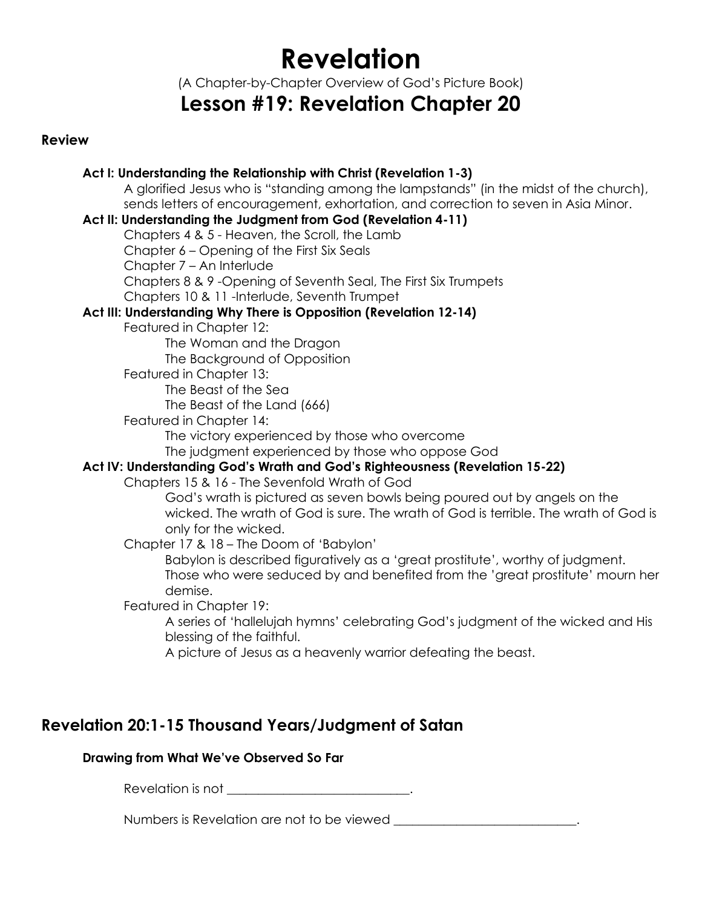# **Revelation**

(A Chapter-by-Chapter Overview of God's Picture Book)

## **Lesson #19: Revelation Chapter 20**

### **Review**

### **Act I: Understanding the Relationship with Christ (Revelation 1-3)**

A glorified Jesus who is "standing among the lampstands" (in the midst of the church), sends letters of encouragement, exhortation, and correction to seven in Asia Minor.

### **Act II: Understanding the Judgment from God (Revelation 4-11)**

Chapters 4 & 5 - Heaven, the Scroll, the Lamb

Chapter 6 – Opening of the First Six Seals

Chapter 7 – An Interlude

Chapters 8 & 9 -Opening of Seventh Seal, The First Six Trumpets

Chapters 10 & 11 -Interlude, Seventh Trumpet

### **Act III: Understanding Why There is Opposition (Revelation 12-14)**

Featured in Chapter 12:

The Woman and the Dragon The Background of Opposition

Featured in Chapter 13:

The Beast of the Sea

The Beast of the Land (666)

Featured in Chapter 14:

The victory experienced by those who overcome

The judgment experienced by those who oppose God

### **Act IV: Understanding God's Wrath and God's Righteousness (Revelation 15-22)**

Chapters 15 & 16 - The Sevenfold Wrath of God

God's wrath is pictured as seven bowls being poured out by angels on the wicked. The wrath of God is sure. The wrath of God is terrible. The wrath of God is only for the wicked.

Chapter 17 & 18 – The Doom of 'Babylon'

Babylon is described figuratively as a 'great prostitute', worthy of judgment. Those who were seduced by and benefited from the 'great prostitute' mourn her demise.

Featured in Chapter 19:

A series of 'hallelujah hymns' celebrating God's judgment of the wicked and His blessing of the faithful.

A picture of Jesus as a heavenly warrior defeating the beast.

### **Revelation 20:1-15 Thousand Years/Judgment of Satan**

### **Drawing from What We've Observed So Far**

Revelation is not \_\_\_\_\_\_\_\_\_\_\_\_\_\_\_\_\_\_\_\_\_\_\_\_\_\_\_\_\_.

Numbers is Revelation are not to be viewed \_\_\_\_\_\_\_\_\_\_\_\_\_\_\_\_\_\_\_\_\_\_\_\_\_\_\_\_\_.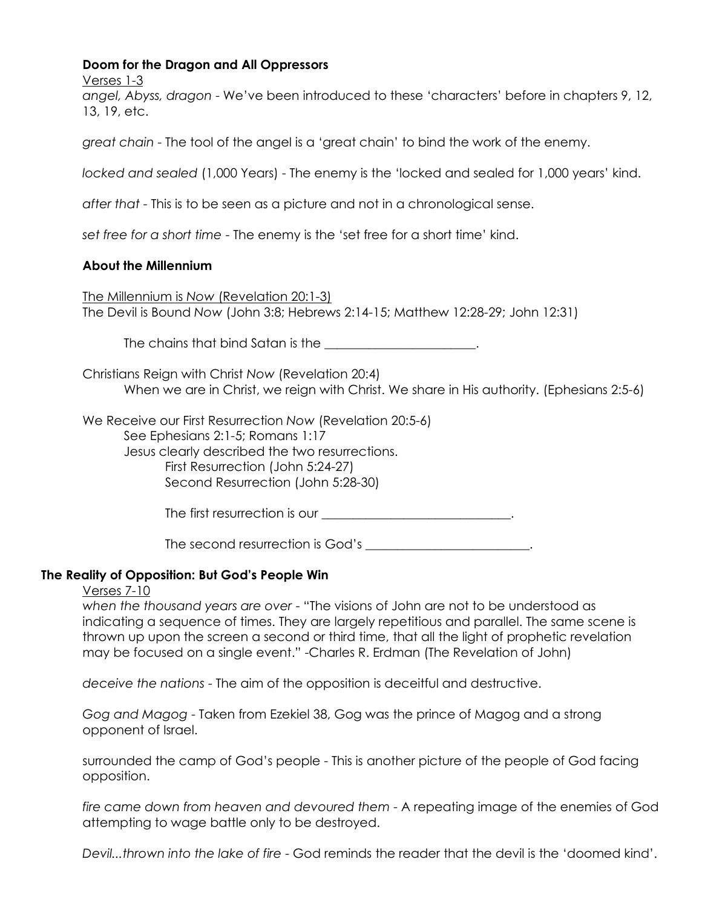### **Doom for the Dragon and All Oppressors**

Verses 1-3

*angel, Abyss, dragon* - We've been introduced to these 'characters' before in chapters 9, 12, 13, 19, etc.

*great chain* - The tool of the angel is a 'great chain' to bind the work of the enemy.

*locked and sealed* (1,000 Years) - The enemy is the 'locked and sealed for 1,000 years' kind.

*after that* - This is to be seen as a picture and not in a chronological sense.

*set free for a short time* - The enemy is the 'set free for a short time' kind.

### **About the Millennium**

The Millennium is *Now* (Revelation 20:1-3) The Devil is Bound *Now* (John 3:8; Hebrews 2:14-15; Matthew 12:28-29; John 12:31)

The chains that bind Satan is the **Example 2018** 

Christians Reign with Christ *Now* (Revelation 20:4) When we are in Christ, we reign with Christ. We share in His authority. (Ephesians 2:5-6)

We Receive our First Resurrection *Now* (Revelation 20:5-6) See Ephesians 2:1-5; Romans 1:17 Jesus clearly described the two resurrections. First Resurrection (John 5:24-27) Second Resurrection (John 5:28-30)

The first resurrection is our **Example 2018** 

The second resurrection is God's  $\Box$ 

### **The Reality of Opposition: But God's People Win**

### Verses 7-10

*when the thousand years are over* - "The visions of John are not to be understood as indicating a sequence of times. They are largely repetitious and parallel. The same scene is thrown up upon the screen a second or third time, that all the light of prophetic revelation may be focused on a single event." -Charles R. Erdman (The Revelation of John)

*deceive the nations* - The aim of the opposition is deceitful and destructive.

*Gog and Magog* - Taken from Ezekiel 38, Gog was the prince of Magog and a strong opponent of Israel.

surrounded the camp of God's people - This is another picture of the people of God facing opposition.

*fire came down from heaven and devoured them* - A repeating image of the enemies of God attempting to wage battle only to be destroyed.

*Devil...thrown into the lake of fire* - God reminds the reader that the devil is the 'doomed kind'.